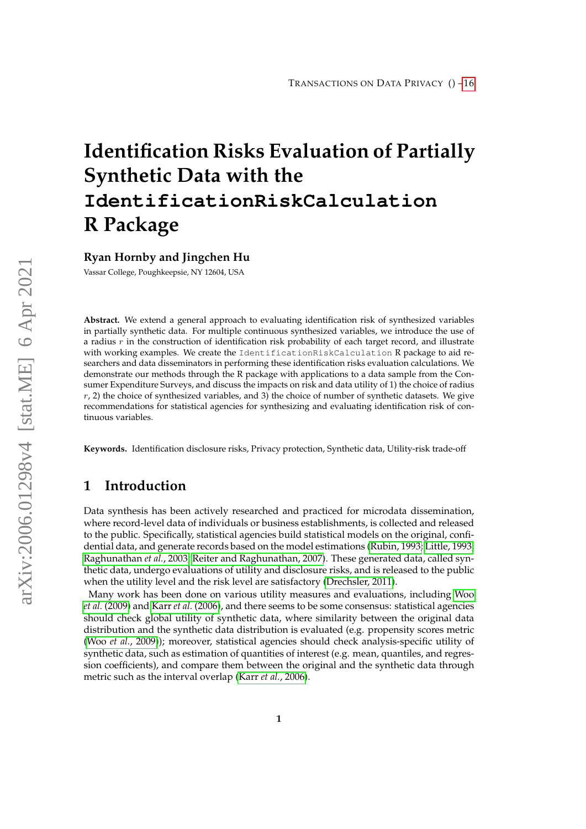# **Identification Risks Evaluation of Partially Synthetic Data with the IdentificationRiskCalculation R Package**

**Ryan Hornby and Jingchen Hu**

Vassar College, Poughkeepsie, NY 12604, USA

**Abstract.** We extend a general approach to evaluating identification risk of synthesized variables in partially synthetic data. For multiple continuous synthesized variables, we introduce the use of a radius  $r$  in the construction of identification risk probability of each target record, and illustrate with working examples. We create the IdentificationRiskCalculation R package to aid researchers and data disseminators in performing these identification risks evaluation calculations. We demonstrate our methods through the R package with applications to a data sample from the Consumer Expenditure Surveys, and discuss the impacts on risk and data utility of 1) the choice of radius  $r$ , 2) the choice of synthesized variables, and 3) the choice of number of synthetic datasets. We give recommendations for statistical agencies for synthesizing and evaluating identification risk of continuous variables.

**Keywords.** Identification disclosure risks, Privacy protection, Synthetic data, Utility-risk trade-off

# **1 Introduction**

Data synthesis has been actively researched and practiced for microdata dissemination, where record-level data of individuals or business establishments, is collected and released to the public. Specifically, statistical agencies build statistical models on the original, confidential data, and generate records based on the model estimations [\(Rubin, 1993;](#page-14-0) [Little, 1993;](#page-14-1) [Raghunathan](#page-14-2) *et al.*, 2003; [Reiter and Raghunathan, 2007\)](#page-14-3). These generated data, called synthetic data, undergo evaluations of utility and disclosure risks, and is released to the public when the utility level and the risk level are satisfactory [\(Drechsler, 2011\)](#page-13-0).

Many work has been done on various utility measures and evaluations, including [Woo](#page-15-1) *et al.* [\(2009\)](#page-15-1) and Karr *et al.* [\(2006\)](#page-14-4), and there seems to be some consensus: statistical agencies should check global utility of synthetic data, where similarity between the original data distribution and the synthetic data distribution is evaluated (e.g. propensity scores metric (Woo *et al.*[, 2009\)](#page-15-1)); moreover, statistical agencies should check analysis-specific utility of synthetic data, such as estimation of quantities of interest (e.g. mean, quantiles, and regression coefficients), and compare them between the original and the synthetic data through metric such as the interval overlap (Karr *et al.*[, 2006\)](#page-14-4).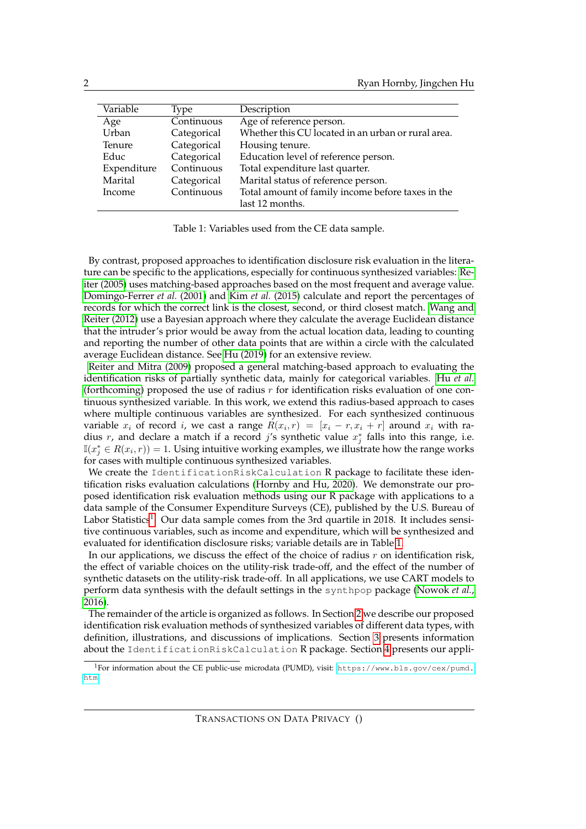| Variable    | Type        | Description                                        |
|-------------|-------------|----------------------------------------------------|
| Age         | Continuous  | Age of reference person.                           |
| Urban       | Categorical | Whether this CU located in an urban or rural area. |
| Tenure      | Categorical | Housing tenure.                                    |
| Educ        | Categorical | Education level of reference person.               |
| Expenditure | Continuous  | Total expenditure last quarter.                    |
| Marital     | Categorical | Marital status of reference person.                |
| Income      | Continuous  | Total amount of family income before taxes in the  |
|             |             | last 12 months.                                    |

<span id="page-1-1"></span>Table 1: Variables used from the CE data sample.

By contrast, proposed approaches to identification disclosure risk evaluation in the literature can be specific to the applications, especially for continuous synthesized variables: [Re](#page-14-5)[iter \(2005\)](#page-14-5) uses matching-based approaches based on the most frequent and average value. [Domingo-Ferrer](#page-13-1) *et al.* (2001) and Kim *et al.* [\(2015\)](#page-14-6) calculate and report the percentages of records for which the correct link is the closest, second, or third closest match. [Wang and](#page-15-2) [Reiter \(2012\)](#page-15-2) use a Bayesian approach where they calculate the average Euclidean distance that the intruder's prior would be away from the actual location data, leading to counting and reporting the number of other data points that are within a circle with the calculated average Euclidean distance. See [Hu \(2019\)](#page-14-7) for an extensive review.

[Reiter and Mitra \(2009\)](#page-14-8) proposed a general matching-based approach to evaluating the identification risks of partially synthetic data, mainly for categorical variables. Hu *[et al.](#page-14-9)* [\(forthcoming\)](#page-14-9) proposed the use of radius  $r$  for identification risks evaluation of one continuous synthesized variable. In this work, we extend this radius-based approach to cases where multiple continuous variables are synthesized. For each synthesized continuous variable  $x_i$  of record i, we cast a range  $R(x_i, r) = [x_i - r, x_i + r]$  around  $x_i$  with radius r, and declare a match if a record j's synthetic value  $x_j^*$  falls into this range, i.e.  $\mathbb{I}(x_j^*\in R(x_i,r)) = 1$ . Using intuitive working examples, we illustrate how the range works for cases with multiple continuous synthesized variables.

We create the IdentificationRiskCalculation R package to facilitate these identification risks evaluation calculations [\(Hornby and Hu, 2020\)](#page-14-10). We demonstrate our proposed identification risk evaluation methods using our R package with applications to a data sample of the Consumer Expenditure Surveys (CE), published by the U.S. Bureau of Labor Statistics<sup>[1](#page-1-0)</sup>. Our data sample comes from the 3rd quartile in 2018. It includes sensitive continuous variables, such as income and expenditure, which will be synthesized and evaluated for identification disclosure risks; variable details are in Table [1.](#page-1-1)

In our applications, we discuss the effect of the choice of radius r on identification risk, the effect of variable choices on the utility-risk trade-off, and the effect of the number of synthetic datasets on the utility-risk trade-off. In all applications, we use CART models to perform data synthesis with the default settings in the synthpop package [\(Nowok](#page-14-11) *et al.*, [2016\)](#page-14-11).

The remainder of the article is organized as follows. In Section [2](#page-2-0) we describe our proposed identification risk evaluation methods of synthesized variables of different data types, with definition, illustrations, and discussions of implications. Section [3](#page-5-0) presents information about the IdentificationRiskCalculation R package. Section [4](#page-6-0) presents our appli-

<span id="page-1-0"></span><sup>1</sup>For information about the CE public-use microdata (PUMD), visit: [https://www.bls.gov/cex/pumd.](https://www.bls.gov/cex/pumd.htm) [htm](https://www.bls.gov/cex/pumd.htm)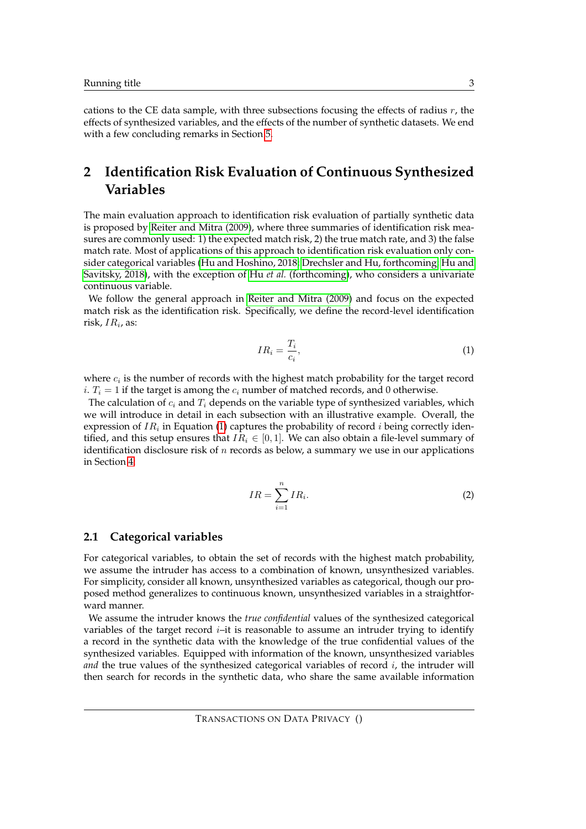cations to the CE data sample, with three subsections focusing the effects of radius  $r$ , the effects of synthesized variables, and the effects of the number of synthetic datasets. We end with a few concluding remarks in Section [5.](#page-13-2)

# <span id="page-2-0"></span>**2 Identification Risk Evaluation of Continuous Synthesized Variables**

The main evaluation approach to identification risk evaluation of partially synthetic data is proposed by [Reiter and Mitra \(2009\)](#page-14-8), where three summaries of identification risk measures are commonly used: 1) the expected match risk, 2) the true match rate, and 3) the false match rate. Most of applications of this approach to identification risk evaluation only consider categorical variables [\(Hu and Hoshino, 2018;](#page-14-12) [Drechsler and Hu, forthcoming;](#page-13-3) [Hu and](#page-14-13) [Savitsky, 2018\)](#page-14-13), with the exception of Hu *et al.* [\(forthcoming\)](#page-14-9), who considers a univariate continuous variable.

We follow the general approach in [Reiter and Mitra \(2009\)](#page-14-8) and focus on the expected match risk as the identification risk. Specifically, we define the record-level identification risk,  $IR_i$ , as:

<span id="page-2-1"></span>
$$
IR_i = \frac{T_i}{c_i},\tag{1}
$$

where  $c_i$  is the number of records with the highest match probability for the target record  $i. T_i = 1$  if the target is among the  $c_i$  number of matched records, and 0 otherwise.

The calculation of  $c_i$  and  $T_i$  depends on the variable type of synthesized variables, which we will introduce in detail in each subsection with an illustrative example. Overall, the expression of  $IR_i$  in Equation [\(1\)](#page-2-1) captures the probability of record  $i$  being correctly identified, and this setup ensures that  $IR_i \in [0, 1]$ . We can also obtain a file-level summary of identification disclosure risk of n records as below, a summary we use in our applications in Section [4:](#page-6-0)

<span id="page-2-2"></span>
$$
IR = \sum_{i=1}^{n} IR_i.
$$
 (2)

### **2.1 Categorical variables**

For categorical variables, to obtain the set of records with the highest match probability, we assume the intruder has access to a combination of known, unsynthesized variables. For simplicity, consider all known, unsynthesized variables as categorical, though our proposed method generalizes to continuous known, unsynthesized variables in a straightforward manner.

We assume the intruder knows the *true confidential* values of the synthesized categorical variables of the target record  $i$ –it is reasonable to assume an intruder trying to identify a record in the synthetic data with the knowledge of the true confidential values of the synthesized variables. Equipped with information of the known, unsynthesized variables *and* the true values of the synthesized categorical variables of record *i*, the intruder will then search for records in the synthetic data, who share the same available information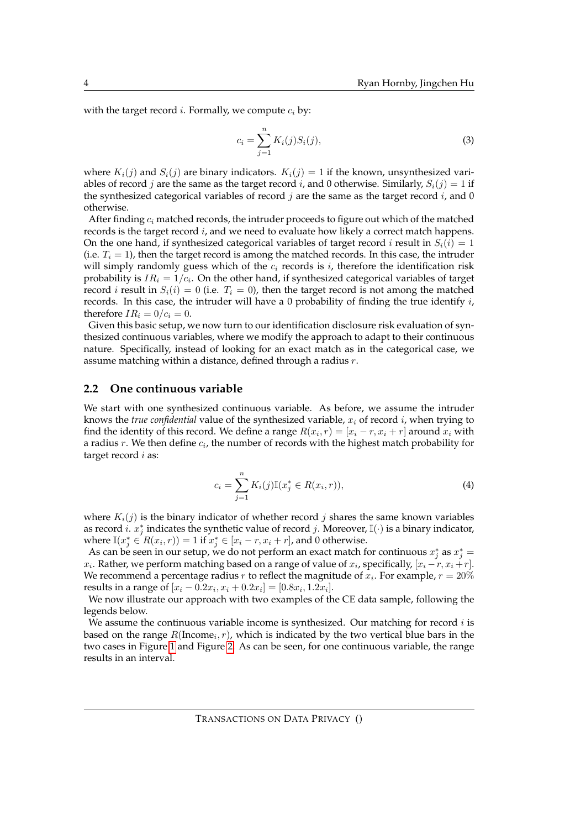with the target record *i*. Formally, we compute  $c_i$  by:

$$
c_i = \sum_{j=1}^{n} K_i(j) S_i(j),
$$
\n(3)

where  $K_i(j)$  and  $S_i(j)$  are binary indicators.  $K_i(j) = 1$  if the known, unsynthesized variables of record j are the same as the target record i, and 0 otherwise. Similarly,  $S_i(j) = 1$  if the synthesized categorical variables of record j are the same as the target record  $i$ , and 0 otherwise.

After finding  $c_i$  matched records, the intruder proceeds to figure out which of the matched records is the target record  $i$ , and we need to evaluate how likely a correct match happens. On the one hand, if synthesized categorical variables of target record *i* result in  $S_i(i) = 1$ (i.e.  $T_i = 1$ ), then the target record is among the matched records. In this case, the intruder will simply randomly guess which of the  $c_i$  records is i, therefore the identification risk probability is  $IR_i = 1/c_i$ . On the other hand, if synthesized categorical variables of target record *i* result in  $S_i(i) = 0$  (i.e.  $T_i = 0$ ), then the target record is not among the matched records. In this case, the intruder will have a 0 probability of finding the true identify  $i$ , therefore  $IR_i = 0/c_i = 0$ .

Given this basic setup, we now turn to our identification disclosure risk evaluation of synthesized continuous variables, where we modify the approach to adapt to their continuous nature. Specifically, instead of looking for an exact match as in the categorical case, we assume matching within a distance, defined through a radius  $r$ .

#### <span id="page-3-0"></span>**2.2 One continuous variable**

We start with one synthesized continuous variable. As before, we assume the intruder knows the *true confidential* value of the synthesized variable,  $x_i$  of record  $i$ , when trying to find the identity of this record. We define a range  $R(x_i, r) = [x_i - r, x_i + r]$  around  $x_i$  with a radius  $r$ . We then define  $c_i$ , the number of records with the highest match probability for target record *i* as:

$$
c_i = \sum_{j=1}^{n} K_i(j) \mathbb{I}(x_j^* \in R(x_i, r)),
$$
\n(4)

where  $K_i(j)$  is the binary indicator of whether record j shares the same known variables as record i.  $x_j^*$  indicates the synthetic value of record j. Moreover,  $\mathbb{I}(\cdot)$  is a binary indicator, where  $\mathbb{I}(x_j^* \in R(x_i,r)) = 1$  if  $x_j^* \in [x_i - r, x_i + r]$ , and 0 otherwise.

As can be seen in our setup, we do not perform an exact match for continuous  $x_j^*$  as  $x_j^* =$  $x_i$ . Rather, we perform matching based on a range of value of  $x_i$ , specifically,  $[x_i - r, x_i + r]$ . We recommend a percentage radius  $r$  to reflect the magnitude of  $x_i$ . For example,  $r = 20\%$ results in a range of  $[x_i - 0.2x_i, x_i + 0.2x_i] = [0.8x_i, 1.2x_i].$ 

We now illustrate our approach with two examples of the CE data sample, following the legends below.

We assume the continuous variable income is synthesized. Our matching for record  $i$  is based on the range  $R(\text{Income}_i, r)$ , which is indicated by the two vertical blue bars in the two cases in Figure [1](#page-4-0) and Figure [2.](#page-4-1) As can be seen, for one continuous variable, the range results in an interval.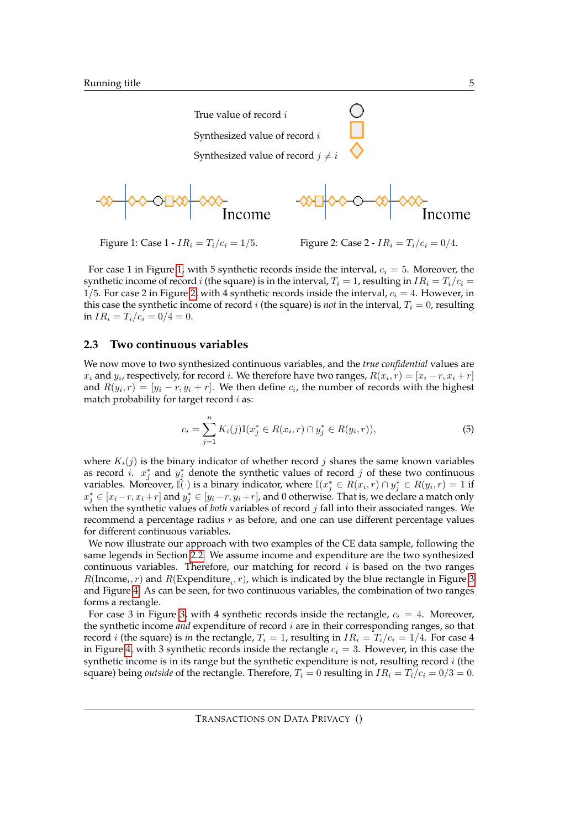

<span id="page-4-0"></span>For case 1 in Figure [1,](#page-4-0) with 5 synthetic records inside the interval,  $c_i = 5$ . Moreover, the synthetic income of record i (the square) is in the interval,  $T_i = 1$ , resulting in  $IR_i = T_i/c_i =$ 1/5. For case 2 in Figure [2,](#page-4-1) with 4 synthetic records inside the interval,  $c_i = 4$ . However, in this case the synthetic income of record i (the square) is *not* in the interval,  $T_i = 0$ , resulting in  $IR_i = T_i/c_i = 0/4 = 0$ .

#### <span id="page-4-2"></span>**2.3 Two continuous variables**

We now move to two synthesized continuous variables, and the *true confidential* values are  $x_i$  and  $y_i$ , respectively, for record i. We therefore have two ranges,  $R(x_i, r) = [x_i - r, x_i + r]$ and  $R(y_i, r) = [y_i - r, y_i + r]$ . We then define  $c_i$ , the number of records with the highest match probability for target record  $i$  as:

<span id="page-4-1"></span>
$$
c_i = \sum_{j=1}^{n} K_i(j) \mathbb{I}(x_j^* \in R(x_i, r) \cap y_j^* \in R(y_i, r)),
$$
\n(5)

where  $K_i(j)$  is the binary indicator of whether record j shares the same known variables as record *i*.  $x_j^*$  and  $y_j^*$  denote the synthetic values of record *j* of these two continuous variables. Moreover,  $\vec{\mathbb{I}}(\cdot)$  is a binary indicator, where  $\mathbb{I}(x_j^*\in R(x_i,r)\cap y_j^*\in R(y_i,r)=1$  if  $x_j^* \in [x_i - r, x_i + r]$  and  $y_j^* \in [y_i - r, y_i + r]$ , and 0 otherwise. That is, we declare a match only when the synthetic values of *both* variables of record j fall into their associated ranges. We recommend a percentage radius  $r$  as before, and one can use different percentage values for different continuous variables.

We now illustrate our approach with two examples of the CE data sample, following the same legends in Section [2.2.](#page-3-0) We assume income and expenditure are the two synthesized continuous variables. Therefore, our matching for record  $i$  is based on the two ranges  $R(\text{income}_i, r)$  and  $R(\text{Expenditure}_i, r)$ , which is indicated by the blue rectangle in Figure [3](#page-5-1) and Figure [4.](#page-5-2) As can be seen, for two continuous variables, the combination of two ranges forms a rectangle.

For case 3 in Figure [3,](#page-5-1) with 4 synthetic records inside the rectangle,  $c_i = 4$ . Moreover, the synthetic income *and* expenditure of record i are in their corresponding ranges, so that record *i* (the square) is *in* the rectangle,  $T_i = 1$ , resulting in  $IR_i = T_i/c_i = 1/4$ . For case 4 in Figure [4,](#page-5-2) with 3 synthetic records inside the rectangle  $c_i = 3$ . However, in this case the synthetic income is in its range but the synthetic expenditure is not, resulting record  $i$  (the square) being *outside* of the rectangle. Therefore,  $T_i = 0$  resulting in  $IR_i = T_i/c_i = 0/3 = 0$ .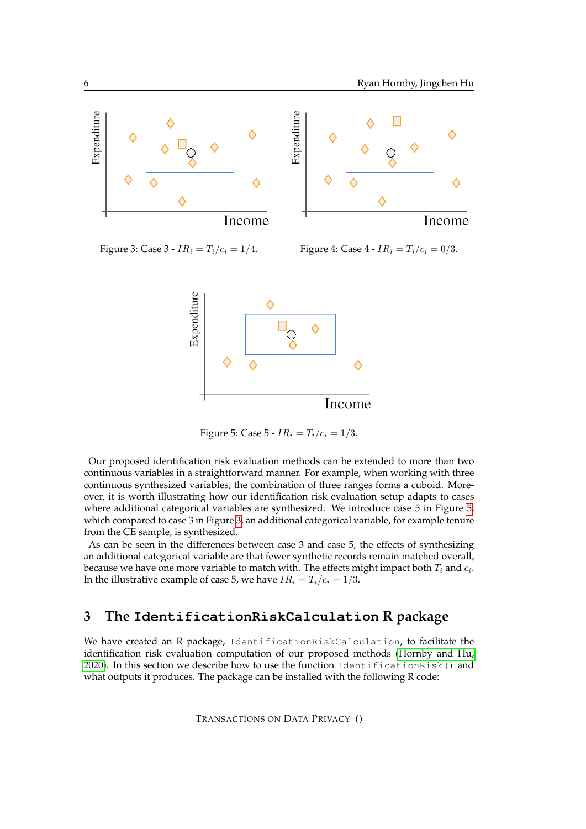

<span id="page-5-1"></span>

Figure 3: Case 3 -  $IR_i = T_i/c_i = 1/4$ . Figure 4: Case 4 -  $IR_i = T_i/c_i = 0/3$ .

<span id="page-5-2"></span>

<span id="page-5-3"></span>Figure 5: Case 5 -  $IR_i = T_i/c_i = 1/3$ .

Our proposed identification risk evaluation methods can be extended to more than two continuous variables in a straightforward manner. For example, when working with three continuous synthesized variables, the combination of three ranges forms a cuboid. Moreover, it is worth illustrating how our identification risk evaluation setup adapts to cases where additional categorical variables are synthesized. We introduce case 5 in Figure [5,](#page-5-3) which compared to case 3 in Figure [3,](#page-5-1) an additional categorical variable, for example tenure from the CE sample, is synthesized.

As can be seen in the differences between case 3 and case 5, the effects of synthesizing an additional categorical variable are that fewer synthetic records remain matched overall, because we have one more variable to match with. The effects might impact both  $T_i$  and  $c_i$ . In the illustrative example of case 5, we have  $IR_i = T_i/c_i = 1/3$ .

# <span id="page-5-0"></span>**3 The IdentificationRiskCalculation R package**

We have created an R package, IdentificationRiskCalculation, to facilitate the identification risk evaluation computation of our proposed methods [\(Hornby and Hu,](#page-14-10) [2020\)](#page-14-10). In this section we describe how to use the function IdentificationRisk() and what outputs it produces. The package can be installed with the following R code: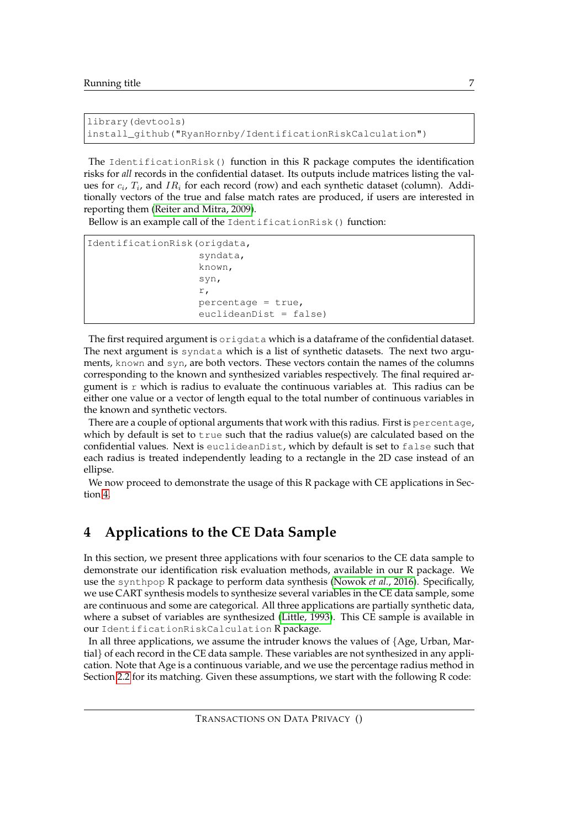```
library(devtools)
install_github("RyanHornby/IdentificationRiskCalculation")
```
The IdentificationRisk() function in this R package computes the identification risks for *all* records in the confidential dataset. Its outputs include matrices listing the values for  $c_i$ ,  $T_i$ , and  $IR_i$  for each record (row) and each synthetic dataset (column). Additionally vectors of the true and false match rates are produced, if users are interested in reporting them [\(Reiter and Mitra, 2009\)](#page-14-8).

Bellow is an example call of the IdentificationRisk() function:

```
IdentificationRisk(origdata,
                    syndata,
                    known,
                    syn,
                    r,
                    percentage = true,
                    euclideanDist = false)
```
The first required argument is origdata which is a dataframe of the confidential dataset. The next argument is syndata which is a list of synthetic datasets. The next two arguments, known and syn, are both vectors. These vectors contain the names of the columns corresponding to the known and synthesized variables respectively. The final required argument is  $r$  which is radius to evaluate the continuous variables at. This radius can be either one value or a vector of length equal to the total number of continuous variables in the known and synthetic vectors.

There are a couple of optional arguments that work with this radius. First is percentage, which by default is set to true such that the radius value(s) are calculated based on the confidential values. Next is euclideanDist, which by default is set to false such that each radius is treated independently leading to a rectangle in the 2D case instead of an ellipse.

We now proceed to demonstrate the usage of this R package with CE applications in Section [4.](#page-6-0)

# <span id="page-6-0"></span>**4 Applications to the CE Data Sample**

In this section, we present three applications with four scenarios to the CE data sample to demonstrate our identification risk evaluation methods, available in our R package. We use the synthpop R package to perform data synthesis [\(Nowok](#page-14-11) *et al.*, 2016). Specifically, we use CART synthesis models to synthesize several variables in the CE data sample, some are continuous and some are categorical. All three applications are partially synthetic data, where a subset of variables are synthesized [\(Little, 1993\)](#page-14-1). This CE sample is available in our IdentificationRiskCalculation R package.

In all three applications, we assume the intruder knows the values of {Age, Urban, Martial} of each record in the CE data sample. These variables are not synthesized in any application. Note that Age is a continuous variable, and we use the percentage radius method in Section [2.2](#page-3-0) for its matching. Given these assumptions, we start with the following R code: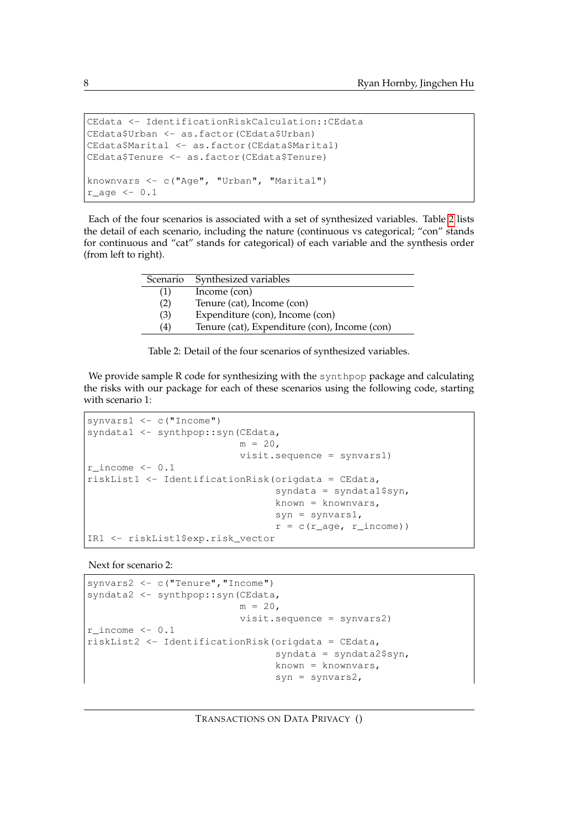```
CEdata <- IdentificationRiskCalculation::CEdata
CEdata$Urban <- as.factor(CEdata$Urban)
CEdata$Marital <- as.factor(CEdata$Marital)
CEdata$Tenure <- as.factor(CEdata$Tenure)
knownvars <- c("Age", "Urban", "Marital")
r\_{\text{age}} \leftarrow 0.1
```
Each of the four scenarios is associated with a set of synthesized variables. Table [2](#page-7-0) lists the detail of each scenario, including the nature (continuous vs categorical; "con" stands for continuous and "cat" stands for categorical) of each variable and the synthesis order (from left to right).

| Scenario | Synthesized variables                         |  |  |
|----------|-----------------------------------------------|--|--|
| (1)      | Income (con)                                  |  |  |
| (2)      | Tenure (cat), Income (con)                    |  |  |
| (3)      | Expenditure (con), Income (con)               |  |  |
| (4)      | Tenure (cat), Expenditure (con), Income (con) |  |  |
|          |                                               |  |  |

<span id="page-7-0"></span>Table 2: Detail of the four scenarios of synthesized variables.

We provide sample R code for synthesizing with the synthpop package and calculating the risks with our package for each of these scenarios using the following code, starting with scenario 1:

```
synvars1 <- c("Income")
syndata1 <- synthpop::syn(CEdata,
                           m = 20,
                           visit.sequence = synvars1)
r income <-0.1riskList1 <- IdentificationRisk(origdata = CEdata,
                                  syndata = syndata1$syn,
                                  known = knownvars,
                                  syn = synvars1,r = c(r \text{age}, r \text{income}))
IR1 <- riskList1$exp.risk_vector
```
Next for scenario 2:

```
synvars2 <- c("Tenure","Income")
syndata2 <- synthpop::syn(CEdata,
                           m = 20,
                           visit.sequence = synvars2)
r\_income \leftarrow 0.1riskList2 <- IdentificationRisk(origdata = CEdata,
                                  syndata = syndata2$syn,
                                 known = knownvars,
                                  syn = synvars2,
```
TRANSACTIONS ON DATA PRIVACY ()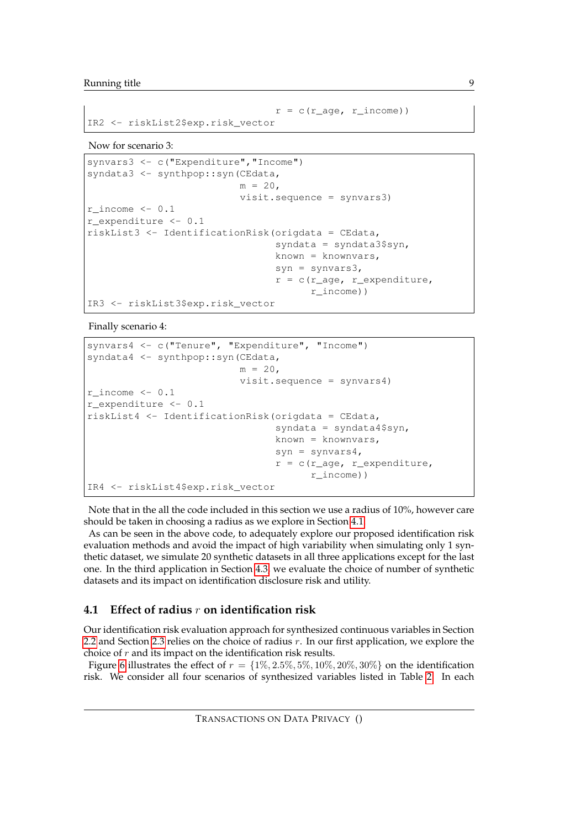```
r = c(r \text{age}, r \text{income}))IR2 <- riskList2$exp.risk_vector
```
Now for scenario 3:

```
synvars3 <- c("Expenditure", "Income")
syndata3 <- synthpop::syn(CEdata,
                           m = 20.
                           visit.sequence = synvars3)
r\_income \leftarrow 0.1r_expenditure <- 0.1
riskList3 <- IdentificationRisk(origdata = CEdata,
                                  syndata = syndata3$syn,
                                  known = knownvars,
                                  syn = synvars3,
                                  r = c(r \_age, r \_expenditive,r_income))
IR3 <- riskList3$exp.risk_vector
```
Finally scenario 4:

```
synvars4 <- c("Tenure", "Expenditure", "Income")
syndata4 <- synthpop::syn(CEdata,
                           m = 20,
                           visit.sequence = synvars4)
r_income <- 0.1
r_expenditure <- 0.1
riskList4 <- IdentificationRisk(origdata = CEdata,
                                  syndata = syndata4$syn,
                                  known = knownvars,
                                  syn = synvars4,
                                  r = c(r \text{age}, r \text{expenditure})r_income))
IR4 <- riskList4$exp.risk_vector
```
Note that in the all the code included in this section we use a radius of 10%, however care should be taken in choosing a radius as we explore in Section [4.1.](#page-8-0)

As can be seen in the above code, to adequately explore our proposed identification risk evaluation methods and avoid the impact of high variability when simulating only 1 synthetic dataset, we simulate 20 synthetic datasets in all three applications except for the last one. In the third application in Section [4.3,](#page-12-0) we evaluate the choice of number of synthetic datasets and its impact on identification disclosure risk and utility.

### <span id="page-8-0"></span>**4.1 Effect of radius** r **on identification risk**

Our identification risk evaluation approach for synthesized continuous variables in Section [2.2](#page-3-0) and Section [2.3](#page-4-2) relies on the choice of radius  $r$ . In our first application, we explore the choice of  $r$  and its impact on the identification risk results.

Figure [6](#page-9-0) illustrates the effect of  $r = \{1\%, 2.5\%, 5\%, 10\%, 20\%, 30\%\}\$  on the identification risk. We consider all four scenarios of synthesized variables listed in Table [2.](#page-7-0) In each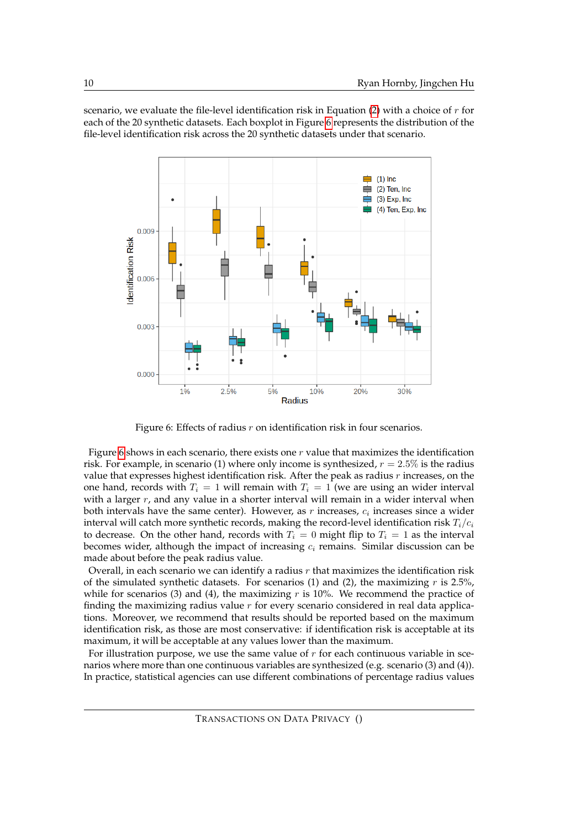scenario, we evaluate the file-level identification risk in Equation [\(2\)](#page-2-2) with a choice of  $r$  for each of the 20 synthetic datasets. Each boxplot in Figure [6](#page-9-0) represents the distribution of the file-level identification risk across the 20 synthetic datasets under that scenario.



<span id="page-9-0"></span>Figure 6: Effects of radius  $r$  on identification risk in four scenarios.

Figure [6](#page-9-0) shows in each scenario, there exists one  $r$  value that maximizes the identification risk. For example, in scenario (1) where only income is synthesized,  $r = 2.5\%$  is the radius value that expresses highest identification risk. After the peak as radius  $r$  increases, on the one hand, records with  $T_i = 1$  will remain with  $T_i = 1$  (we are using an wider interval with a larger  $r$ , and any value in a shorter interval will remain in a wider interval when both intervals have the same center). However, as  $r$  increases,  $c_i$  increases since a wider interval will catch more synthetic records, making the record-level identification risk  $T_i/c_i$ to decrease. On the other hand, records with  $T_i = 0$  might flip to  $T_i = 1$  as the interval becomes wider, although the impact of increasing  $c_i$  remains. Similar discussion can be made about before the peak radius value.

Overall, in each scenario we can identify a radius  $r$  that maximizes the identification risk of the simulated synthetic datasets. For scenarios (1) and (2), the maximizing  $r$  is 2.5%, while for scenarios (3) and (4), the maximizing  $r$  is 10%. We recommend the practice of finding the maximizing radius value  $r$  for every scenario considered in real data applications. Moreover, we recommend that results should be reported based on the maximum identification risk, as those are most conservative: if identification risk is acceptable at its maximum, it will be acceptable at any values lower than the maximum.

For illustration purpose, we use the same value of  $r$  for each continuous variable in scenarios where more than one continuous variables are synthesized (e.g. scenario (3) and (4)). In practice, statistical agencies can use different combinations of percentage radius values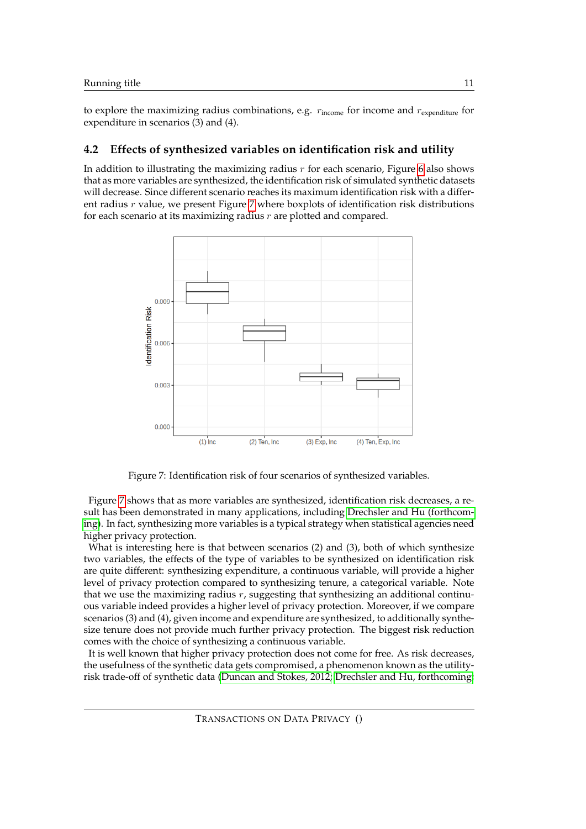to explore the maximizing radius combinations, e.g.  $r_{\text{income}}$  for income and  $r_{\text{expenditure}}$  for expenditure in scenarios (3) and (4).

### **4.2 Effects of synthesized variables on identification risk and utility**

In addition to illustrating the maximizing radius  $r$  for each scenario, Figure [6](#page-9-0) also shows that as more variables are synthesized, the identification risk of simulated synthetic datasets will decrease. Since different scenario reaches its maximum identification risk with a different radius  $r$  value, we present Figure  $7$  where boxplots of identification risk distributions for each scenario at its maximizing radius  $r$  are plotted and compared.



<span id="page-10-0"></span>Figure 7: Identification risk of four scenarios of synthesized variables.

Figure [7](#page-10-0) shows that as more variables are synthesized, identification risk decreases, a result has been demonstrated in many applications, including [Drechsler and Hu \(forthcom](#page-13-3)[ing\)](#page-13-3). In fact, synthesizing more variables is a typical strategy when statistical agencies need higher privacy protection.

What is interesting here is that between scenarios (2) and (3), both of which synthesize two variables, the effects of the type of variables to be synthesized on identification risk are quite different: synthesizing expenditure, a continuous variable, will provide a higher level of privacy protection compared to synthesizing tenure, a categorical variable. Note that we use the maximizing radius  $r$ , suggesting that synthesizing an additional continuous variable indeed provides a higher level of privacy protection. Moreover, if we compare scenarios (3) and (4), given income and expenditure are synthesized, to additionally synthesize tenure does not provide much further privacy protection. The biggest risk reduction comes with the choice of synthesizing a continuous variable.

It is well known that higher privacy protection does not come for free. As risk decreases, the usefulness of the synthetic data gets compromised, a phenomenon known as the utilityrisk trade-off of synthetic data [\(Duncan and Stokes, 2012;](#page-13-4) [Drechsler and Hu, forthcoming;](#page-13-3)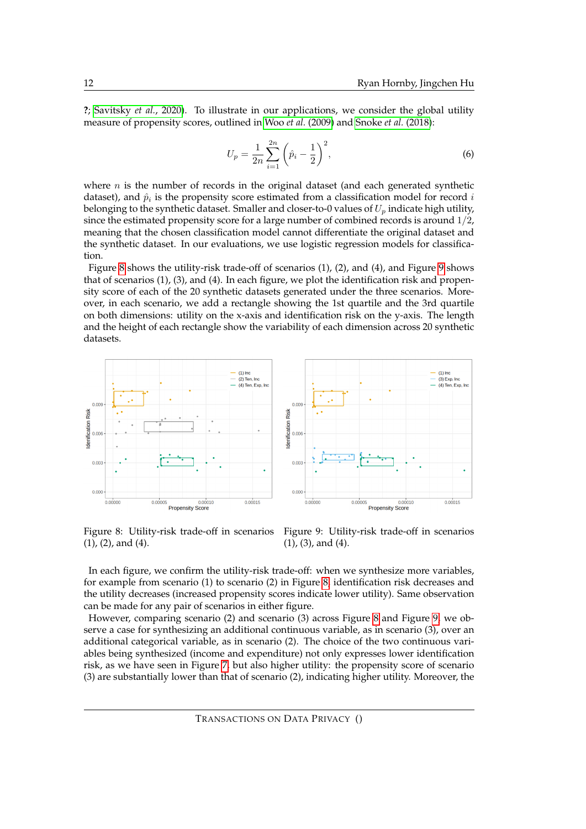**?**; [Savitsky](#page-14-14) *et al.*, 2020). To illustrate in our applications, we consider the global utility measure of propensity scores, outlined in Woo *et al.* [\(2009\)](#page-15-1) and [Snoke](#page-15-3) *et al.* (2018):

$$
U_p = \frac{1}{2n} \sum_{i=1}^{2n} \left(\hat{p}_i - \frac{1}{2}\right)^2,\tag{6}
$$

where  $n$  is the number of records in the original dataset (and each generated synthetic dataset), and  $\hat{p}_i$  is the propensity score estimated from a classification model for record  $i$ belonging to the synthetic dataset. Smaller and closer-to-0 values of  $U_p$  indicate high utility, since the estimated propensity score for a large number of combined records is around 1/2, meaning that the chosen classification model cannot differentiate the original dataset and the synthetic dataset. In our evaluations, we use logistic regression models for classification.

Figure [8](#page-11-0) shows the utility-risk trade-off of scenarios (1), (2), and (4), and Figure [9](#page-11-1) shows that of scenarios (1), (3), and (4). In each figure, we plot the identification risk and propensity score of each of the 20 synthetic datasets generated under the three scenarios. Moreover, in each scenario, we add a rectangle showing the 1st quartile and the 3rd quartile on both dimensions: utility on the x-axis and identification risk on the y-axis. The length and the height of each rectangle show the variability of each dimension across 20 synthetic datasets.





<span id="page-11-0"></span>Figure 8: Utility-risk trade-off in scenarios (1), (2), and (4).

<span id="page-11-1"></span>Figure 9: Utility-risk trade-off in scenarios (1), (3), and (4).

In each figure, we confirm the utility-risk trade-off: when we synthesize more variables, for example from scenario (1) to scenario (2) in Figure [8,](#page-11-0) identification risk decreases and the utility decreases (increased propensity scores indicate lower utility). Same observation can be made for any pair of scenarios in either figure.

However, comparing scenario (2) and scenario (3) across Figure [8](#page-11-0) and Figure [9,](#page-11-1) we observe a case for synthesizing an additional continuous variable, as in scenario (3), over an additional categorical variable, as in scenario (2). The choice of the two continuous variables being synthesized (income and expenditure) not only expresses lower identification risk, as we have seen in Figure [7,](#page-10-0) but also higher utility: the propensity score of scenario (3) are substantially lower than that of scenario (2), indicating higher utility. Moreover, the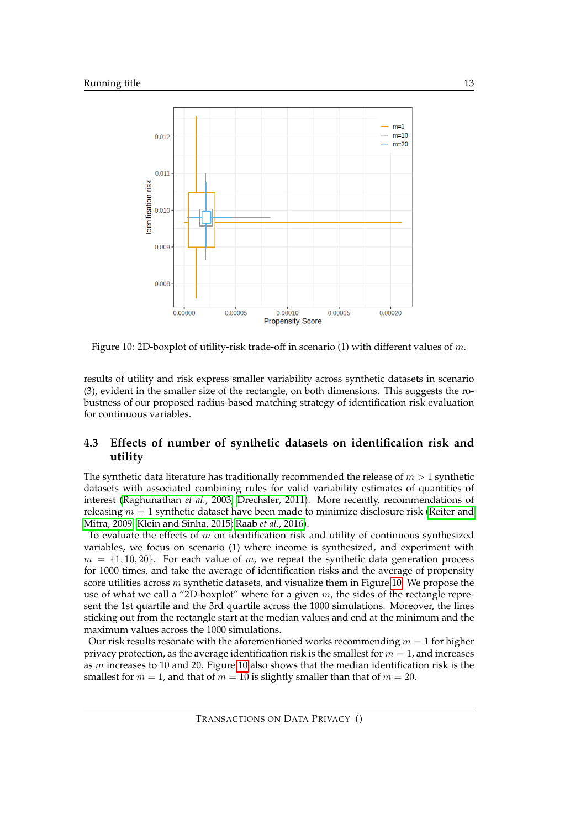

<span id="page-12-1"></span>Figure 10: 2D-boxplot of utility-risk trade-off in scenario (1) with different values of m.

results of utility and risk express smaller variability across synthetic datasets in scenario (3), evident in the smaller size of the rectangle, on both dimensions. This suggests the robustness of our proposed radius-based matching strategy of identification risk evaluation for continuous variables.

### <span id="page-12-0"></span>**4.3 Effects of number of synthetic datasets on identification risk and utility**

The synthetic data literature has traditionally recommended the release of  $m > 1$  synthetic datasets with associated combining rules for valid variability estimates of quantities of interest [\(Raghunathan](#page-14-2) *et al.*, 2003; [Drechsler, 2011\)](#page-13-0). More recently, recommendations of releasing  $m = 1$  synthetic dataset have been made to minimize disclosure risk [\(Reiter and](#page-14-8) [Mitra, 2009;](#page-14-8) [Klein and Sinha, 2015;](#page-14-15) Raab *et al.*[, 2016\)](#page-14-16).

To evaluate the effects of  $m$  on identification risk and utility of continuous synthesized variables, we focus on scenario (1) where income is synthesized, and experiment with  $m = \{1, 10, 20\}$ . For each value of m, we repeat the synthetic data generation process for 1000 times, and take the average of identification risks and the average of propensity score utilities across m synthetic datasets, and visualize them in Figure [10.](#page-12-1) We propose the use of what we call a "2D-boxplot" where for a given  $m$ , the sides of the rectangle represent the 1st quartile and the 3rd quartile across the 1000 simulations. Moreover, the lines sticking out from the rectangle start at the median values and end at the minimum and the maximum values across the 1000 simulations.

Our risk results resonate with the aforementioned works recommending  $m = 1$  for higher privacy protection, as the average identification risk is the smallest for  $m = 1$ , and increases as  $m$  increases to [10](#page-12-1) and 20. Figure 10 also shows that the median identification risk is the smallest for  $m = 1$ , and that of  $m = 10$  is slightly smaller than that of  $m = 20$ .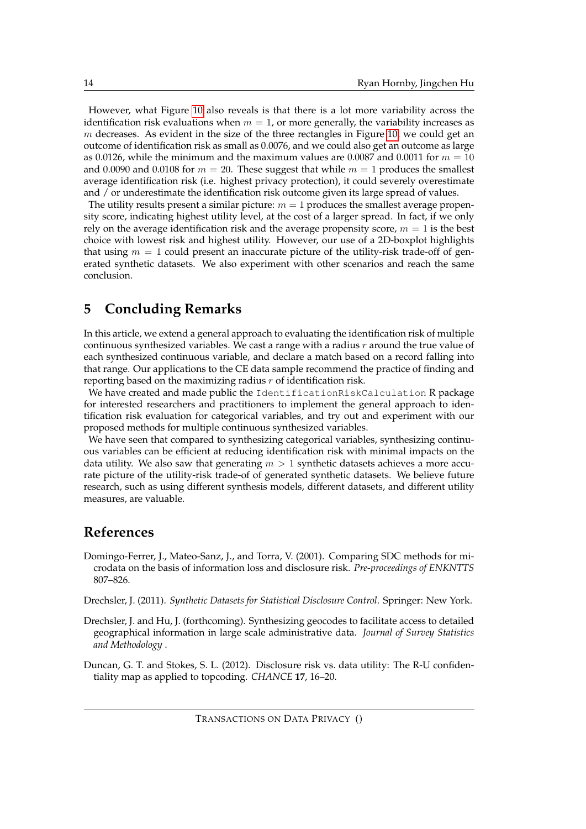However, what Figure [10](#page-12-1) also reveals is that there is a lot more variability across the identification risk evaluations when  $m = 1$ , or more generally, the variability increases as  $m$  decreases. As evident in the size of the three rectangles in Figure [10,](#page-12-1) we could get an outcome of identification risk as small as 0.0076, and we could also get an outcome as large as 0.0126, while the minimum and the maximum values are 0.0087 and 0.0011 for  $m = 10$ and 0.0090 and 0.0108 for  $m = 20$ . These suggest that while  $m = 1$  produces the smallest average identification risk (i.e. highest privacy protection), it could severely overestimate and / or underestimate the identification risk outcome given its large spread of values.

The utility results present a similar picture:  $m = 1$  produces the smallest average propensity score, indicating highest utility level, at the cost of a larger spread. In fact, if we only rely on the average identification risk and the average propensity score,  $m = 1$  is the best choice with lowest risk and highest utility. However, our use of a 2D-boxplot highlights that using  $m = 1$  could present an inaccurate picture of the utility-risk trade-off of generated synthetic datasets. We also experiment with other scenarios and reach the same conclusion.

# <span id="page-13-2"></span>**5 Concluding Remarks**

In this article, we extend a general approach to evaluating the identification risk of multiple continuous synthesized variables. We cast a range with a radius  $r$  around the true value of each synthesized continuous variable, and declare a match based on a record falling into that range. Our applications to the CE data sample recommend the practice of finding and reporting based on the maximizing radius  $r$  of identification risk.

We have created and made public the IdentificationRiskCalculation R package for interested researchers and practitioners to implement the general approach to identification risk evaluation for categorical variables, and try out and experiment with our proposed methods for multiple continuous synthesized variables.

We have seen that compared to synthesizing categorical variables, synthesizing continuous variables can be efficient at reducing identification risk with minimal impacts on the data utility. We also saw that generating  $m > 1$  synthetic datasets achieves a more accurate picture of the utility-risk trade-of of generated synthetic datasets. We believe future research, such as using different synthesis models, different datasets, and different utility measures, are valuable.

## **References**

<span id="page-13-1"></span>Domingo-Ferrer, J., Mateo-Sanz, J., and Torra, V. (2001). Comparing SDC methods for microdata on the basis of information loss and disclosure risk. *Pre-proceedings of ENKNTTS* 807–826.

<span id="page-13-0"></span>Drechsler, J. (2011). *Synthetic Datasets for Statistical Disclosure Control*. Springer: New York.

<span id="page-13-3"></span>Drechsler, J. and Hu, J. (forthcoming). Synthesizing geocodes to facilitate access to detailed geographical information in large scale administrative data. *Journal of Survey Statistics and Methodology* .

<span id="page-13-4"></span>Duncan, G. T. and Stokes, S. L. (2012). Disclosure risk vs. data utility: The R-U confidentiality map as applied to topcoding. *CHANCE* **17**, 16–20.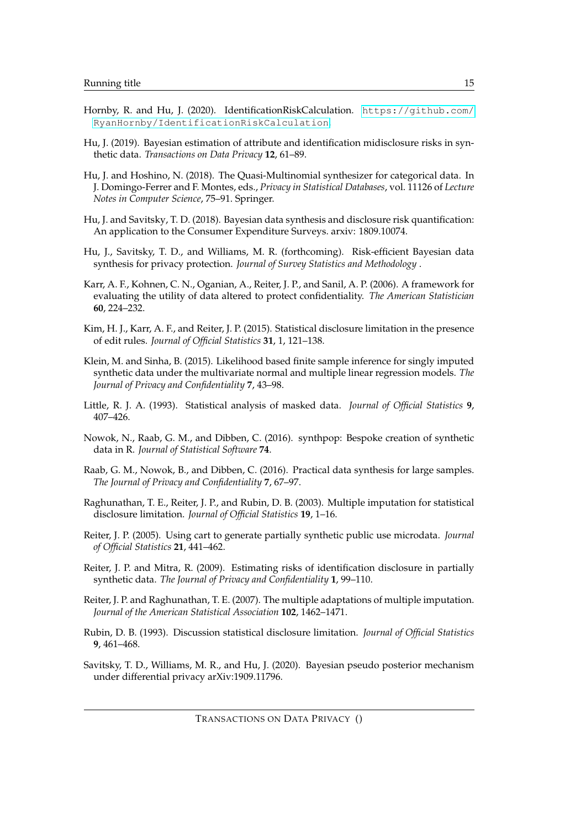- <span id="page-14-10"></span>Hornby, R. and Hu, J. (2020). IdentificationRiskCalculation. [https://github.com/](https://github.com/RyanHornby/IdentificationRiskCalculation) [RyanHornby/IdentificationRiskCalculation](https://github.com/RyanHornby/IdentificationRiskCalculation).
- <span id="page-14-7"></span>Hu, J. (2019). Bayesian estimation of attribute and identification midisclosure risks in synthetic data. *Transactions on Data Privacy* **12**, 61–89.
- <span id="page-14-12"></span>Hu, J. and Hoshino, N. (2018). The Quasi-Multinomial synthesizer for categorical data. In J. Domingo-Ferrer and F. Montes, eds., *Privacy in Statistical Databases*, vol. 11126 of *Lecture Notes in Computer Science*, 75–91. Springer.
- <span id="page-14-13"></span>Hu, J. and Savitsky, T. D. (2018). Bayesian data synthesis and disclosure risk quantification: An application to the Consumer Expenditure Surveys. arxiv: 1809.10074.
- <span id="page-14-9"></span>Hu, J., Savitsky, T. D., and Williams, M. R. (forthcoming). Risk-efficient Bayesian data synthesis for privacy protection. *Journal of Survey Statistics and Methodology* .
- <span id="page-14-4"></span>Karr, A. F., Kohnen, C. N., Oganian, A., Reiter, J. P., and Sanil, A. P. (2006). A framework for evaluating the utility of data altered to protect confidentiality. *The American Statistician* **60**, 224–232.
- <span id="page-14-6"></span>Kim, H. J., Karr, A. F., and Reiter, J. P. (2015). Statistical disclosure limitation in the presence of edit rules. *Journal of Official Statistics* **31**, 1, 121–138.
- <span id="page-14-15"></span>Klein, M. and Sinha, B. (2015). Likelihood based finite sample inference for singly imputed synthetic data under the multivariate normal and multiple linear regression models. *The Journal of Privacy and Confidentiality* **7**, 43–98.
- <span id="page-14-1"></span>Little, R. J. A. (1993). Statistical analysis of masked data. *Journal of Official Statistics* **9**, 407–426.
- <span id="page-14-11"></span>Nowok, N., Raab, G. M., and Dibben, C. (2016). synthpop: Bespoke creation of synthetic data in R. *Journal of Statistical Software* **74**.
- <span id="page-14-16"></span>Raab, G. M., Nowok, B., and Dibben, C. (2016). Practical data synthesis for large samples. *The Journal of Privacy and Confidentiality* **7**, 67–97.
- <span id="page-14-2"></span>Raghunathan, T. E., Reiter, J. P., and Rubin, D. B. (2003). Multiple imputation for statistical disclosure limitation. *Journal of Official Statistics* **19**, 1–16.
- <span id="page-14-5"></span>Reiter, J. P. (2005). Using cart to generate partially synthetic public use microdata. *Journal of Official Statistics* **21**, 441–462.
- <span id="page-14-8"></span>Reiter, J. P. and Mitra, R. (2009). Estimating risks of identification disclosure in partially synthetic data. *The Journal of Privacy and Confidentiality* **1**, 99–110.
- <span id="page-14-3"></span>Reiter, J. P. and Raghunathan, T. E. (2007). The multiple adaptations of multiple imputation. *Journal of the American Statistical Association* **102**, 1462–1471.
- <span id="page-14-0"></span>Rubin, D. B. (1993). Discussion statistical disclosure limitation. *Journal of Official Statistics* **9**, 461–468.
- <span id="page-14-14"></span>Savitsky, T. D., Williams, M. R., and Hu, J. (2020). Bayesian pseudo posterior mechanism under differential privacy arXiv:1909.11796.